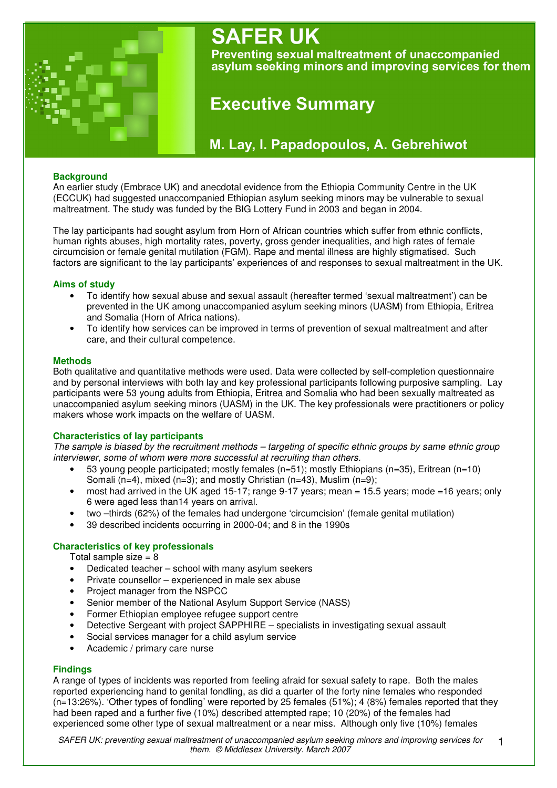

# **SAFER UK**

Preventing sexual maltreatment of unaccompanied asylum seeking minors and improving services for them

# **Executive Summary**

# M. Lay, I. Papadopoulos, A. Gebrehiwot

# **Background**

An earlier study (Embrace UK) and anecdotal evidence from the Ethiopia Community Centre in the UK (ECCUK) had suggested unaccompanied Ethiopian asylum seeking minors may be vulnerable to sexual maltreatment. The study was funded by the BIG Lottery Fund in 2003 and began in 2004.

The lay participants had sought asylum from Horn of African countries which suffer from ethnic conflicts, human rights abuses, high mortality rates, poverty, gross gender inequalities, and high rates of female circumcision or female genital mutilation (FGM). Rape and mental illness are highly stigmatised. Such factors are significant to the lay participants' experiences of and responses to sexual maltreatment in the UK.

# **Aims of study**

- To identify how sexual abuse and sexual assault (hereafter termed 'sexual maltreatment') can be prevented in the UK among unaccompanied asylum seeking minors (UASM) from Ethiopia, Eritrea and Somalia (Horn of Africa nations).
- To identify how services can be improved in terms of prevention of sexual maltreatment and after care, and their cultural competence.

#### **Methods**

Both qualitative and quantitative methods were used. Data were collected by self-completion questionnaire and by personal interviews with both lay and key professional participants following purposive sampling. Lay participants were 53 young adults from Ethiopia, Eritrea and Somalia who had been sexually maltreated as unaccompanied asylum seeking minors (UASM) in the UK. The key professionals were practitioners or policy makers whose work impacts on the welfare of UASM.

# **Characteristics of lay participants**

The sample is biased by the recruitment methods – targeting of specific ethnic groups by same ethnic group *interviewer, some of whom were more successful at recruiting than others.*

- 53 young people participated; mostly females (n=51); mostly Ethiopians (n=35), Eritrean (n=10) Somali (n=4), mixed (n=3); and mostly Christian (n=43), Muslim (n=9);
- most had arrived in the UK aged 15-17; range 9-17 years; mean = 15.5 years; mode =16 years; only 6 were aged less than14 years on arrival.
- two –thirds (62%) of the females had undergone 'circumcision' (female genital mutilation)
- 39 described incidents occurring in 2000-04; and 8 in the 1990s

# **Characteristics of key professionals**

Total sample size  $= 8$ 

- Dedicated teacher school with many asylum seekers
- Private counsellor experienced in male sex abuse
- Project manager from the NSPCC
- Senior member of the National Asylum Support Service (NASS)
- Former Ethiopian employee refugee support centre
- Detective Sergeant with project SAPPHIRE specialists in investigating sexual assault
- Social services manager for a child asylum service
- Academic / primary care nurse

# **Findings**

A range of types of incidents was reported from feeling afraid for sexual safety to rape. Both the males reported experiencing hand to genital fondling, as did a quarter of the forty nine females who responded (n=13:26%). 'Other types of fondling' were reported by 25 females (51%); 4 (8%) females reported that they had been raped and a further five (10%) described attempted rape; 10 (20%) of the females had experienced some other type of sexual maltreatment or a near miss. Although only five (10%) females

*SAFER UK: preventing sexual maltreatment of unaccompanied asylum seeking minors and improving services for them. © Middlesex University. March 2007* 1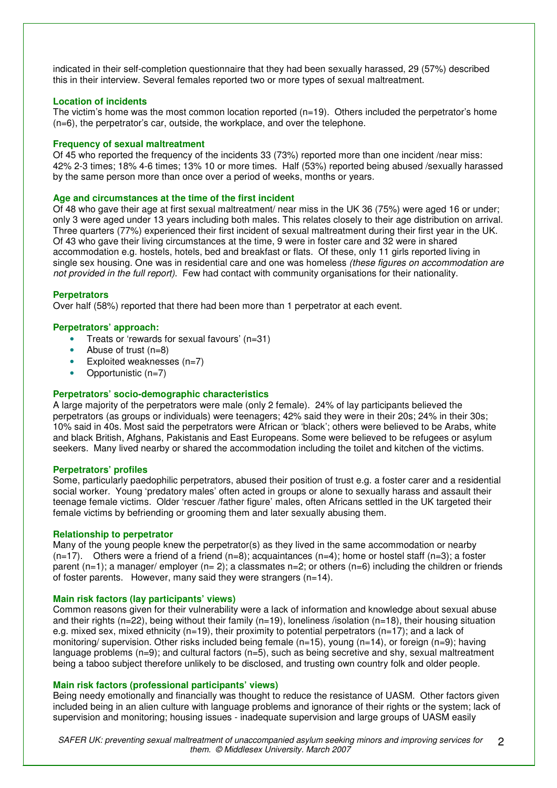indicated in their self-completion questionnaire that they had been sexually harassed, 29 (57%) described this in their interview. Several females reported two or more types of sexual maltreatment.

## **Location of incidents**

The victim's home was the most common location reported  $(n=19)$ . Others included the perpetrator's home (n=6), the perpetrator's car, outside, the workplace, and over the telephone.

#### **Frequency of sexual maltreatment**

Of 45 who reported the frequency of the incidents 33 (73%) reported more than one incident /near miss: 42% 2-3 times; 18% 4-6 times; 13% 10 or more times. Half (53%) reported being abused /sexually harassed by the same person more than once over a period of weeks, months or years.

#### **Age and circumstances at the time of the first incident**

Of 48 who gave their age at first sexual maltreatment/ near miss in the UK 36 (75%) were aged 16 or under; only 3 were aged under 13 years including both males. This relates closely to their age distribution on arrival. Three quarters (77%) experienced their first incident of sexual maltreatment during their first year in the UK. Of 43 who gave their living circumstances at the time, 9 were in foster care and 32 were in shared accommodation e.g. hostels, hotels, bed and breakfast or flats. Of these, only 11 girls reported living in single sex housing. One was in residential care and one was homeless *(these figures on accommodation are not provided in the full report)*. Few had contact with community organisations for their nationality.

#### **Perpetrators**

Over half (58%) reported that there had been more than 1 perpetrator at each event.

#### **Perpetrators' approach:**

- Treats or 'rewards for sexual favours' (n=31)
- Abuse of trust  $(n=8)$
- Exploited weaknesses  $(n=7)$
- Opportunistic (n=7)

## **Perpetrators' socio-demographic characteristics**

A large majority of the perpetrators were male (only 2 female). 24% of lay participants believed the perpetrators (as groups or individuals) were teenagers; 42% said they were in their 20s; 24% in their 30s; 10% said in 40s. Most said the perpetrators were African or 'black'; others were believed to be Arabs, white and black British, Afghans, Pakistanis and East Europeans. Some were believed to be refugees or asylum seekers. Many lived nearby or shared the accommodation including the toilet and kitchen of the victims.

#### **Perpetrators' profiles**

Some, particularly paedophilic perpetrators, abused their position of trust e.g. a foster carer and a residential social worker. Young 'predatory males' often acted in groups or alone to sexually harass and assault their teenage female victims. Older 'rescuer /father figure' males, often Africans settled in the UK targeted their female victims by befriending or grooming them and later sexually abusing them.

### **Relationship to perpetrator**

Many of the young people knew the perpetrator(s) as they lived in the same accommodation or nearby  $(n=17)$ . Others were a friend of a friend  $(n=8)$ ; acquaintances  $(n=4)$ ; home or hostel staff  $(n=3)$ ; a foster parent (n=1); a manager/ employer (n= 2); a classmates n=2; or others (n=6) including the children or friends of foster parents. However, many said they were strangers (n=14).

#### **Main risk factors (lay participants' views)**

Common reasons given for their vulnerability were a lack of information and knowledge about sexual abuse and their rights (n=22), being without their family (n=19), loneliness /isolation (n=18), their housing situation e.g. mixed sex, mixed ethnicity ( $n=19$ ), their proximity to potential perpetrators ( $n=17$ ); and a lack of monitoring/ supervision. Other risks included being female (n=15), young (n=14), or foreign (n=9); having language problems  $(n=9)$ ; and cultural factors  $(n=5)$ , such as being secretive and shy, sexual maltreatment being a taboo subject therefore unlikely to be disclosed, and trusting own country folk and older people.

#### **Main risk factors (professional participants' views)**

Being needy emotionally and financially was thought to reduce the resistance of UASM. Other factors given included being in an alien culture with language problems and ignorance of their rights or the system; lack of supervision and monitoring; housing issues - inadequate supervision and large groups of UASM easily

*SAFER UK: preventing sexual maltreatment of unaccompanied asylum seeking minors and improving services for them. © Middlesex University. March 2007*  $\mathcal{P}$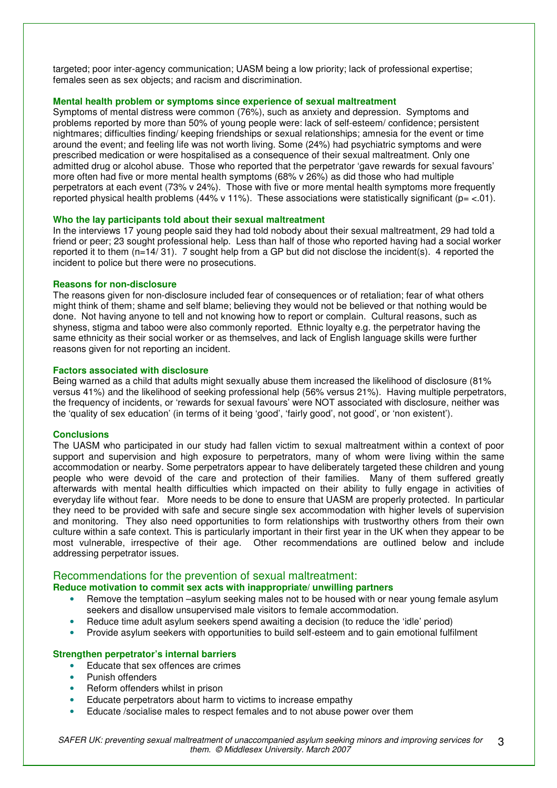targeted; poor inter-agency communication; UASM being a low priority; lack of professional expertise; females seen as sex objects; and racism and discrimination.

## **Mental health problem or symptoms since experience of sexual maltreatment**

Symptoms of mental distress were common (76%), such as anxiety and depression. Symptoms and problems reported by more than 50% of young people were: lack of self-esteem/ confidence; persistent nightmares; difficulties finding/ keeping friendships or sexual relationships; amnesia for the event or time around the event; and feeling life was not worth living. Some (24%) had psychiatric symptoms and were prescribed medication or were hospitalised as a consequence of their sexual maltreatment. Only one admitted drug or alcohol abuse. Those who reported that the perpetrator 'gave rewards for sexual favours' more often had five or more mental health symptoms (68% v 26%) as did those who had multiple perpetrators at each event (73% v 24%). Those with five or more mental health symptoms more frequently reported physical health problems (44% v 11%). These associations were statistically significant ( $p = < 01$ ).

#### **Who the lay participants told about their sexual maltreatment**

In the interviews 17 young people said they had told nobody about their sexual maltreatment, 29 had told a friend or peer; 23 sought professional help. Less than half of those who reported having had a social worker reported it to them (n=14/ 31). 7 sought help from a GP but did not disclose the incident(s). 4 reported the incident to police but there were no prosecutions.

#### **Reasons for non-disclosure**

The reasons given for non-disclosure included fear of consequences or of retaliation; fear of what others might think of them; shame and self blame; believing they would not be believed or that nothing would be done. Not having anyone to tell and not knowing how to report or complain. Cultural reasons, such as shyness, stigma and taboo were also commonly reported. Ethnic loyalty e.g. the perpetrator having the same ethnicity as their social worker or as themselves, and lack of English language skills were further reasons given for not reporting an incident.

#### **Factors associated with disclosure**

Being warned as a child that adults might sexually abuse them increased the likelihood of disclosure (81% versus 41%) and the likelihood of seeking professional help (56% versus 21%). Having multiple perpetrators, the frequency of incidents, or 'rewards for sexual favours' were NOT associated with disclosure, neither was the 'quality of sex education' (in terms of it being 'good', 'fairly good', not good', or 'non existent').

#### **Conclusions**

The UASM who participated in our study had fallen victim to sexual maltreatment within a context of poor support and supervision and high exposure to perpetrators, many of whom were living within the same accommodation or nearby. Some perpetrators appear to have deliberately targeted these children and young people who were devoid of the care and protection of their families. Many of them suffered greatly afterwards with mental health difficulties which impacted on their ability to fully engage in activities of everyday life without fear. More needs to be done to ensure that UASM are properly protected. In particular they need to be provided with safe and secure single sex accommodation with higher levels of supervision and monitoring. They also need opportunities to form relationships with trustworthy others from their own culture within a safe context. This is particularly important in their first year in the UK when they appear to be most vulnerable, irrespective of their age. Other recommendations are outlined below and include addressing perpetrator issues.

# Recommendations for the prevention of sexual maltreatment:

# **Reduce motivation to commit sex acts with inappropriate/ unwilling partners**

- Remove the temptation –asylum seeking males not to be housed with or near young female asylum seekers and disallow unsupervised male visitors to female accommodation.
- Reduce time adult asylum seekers spend awaiting a decision (to reduce the 'idle' period)
- Provide asylum seekers with opportunities to build self-esteem and to gain emotional fulfilment

#### **Strengthen perpetrator's internal barriers**

- Educate that sex offences are crimes
- Punish offenders
- Reform offenders whilst in prison
- Educate perpetrators about harm to victims to increase empathy
- Educate /socialise males to respect females and to not abuse power over them

*SAFER UK: preventing sexual maltreatment of unaccompanied asylum seeking minors and improving services for them. © Middlesex University. March 2007* 3